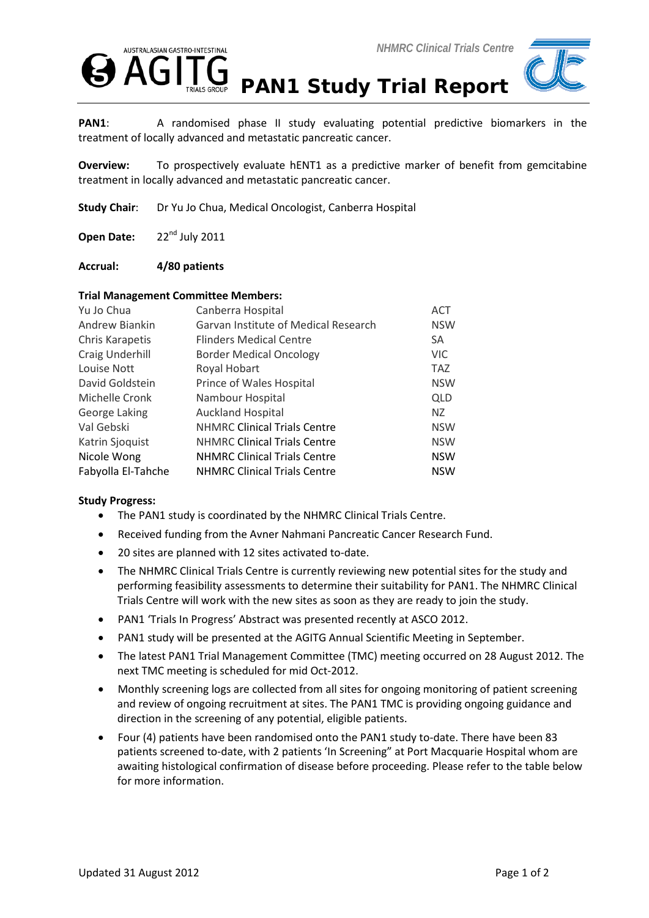



PAN1: A randomised phase II study evaluating potential predictive biomarkers in the treatment of locally advanced and metastatic pancreatic cancer.

**Overview:** To prospectively evaluate hENT1 as a predictive marker of benefit from gemcitabine treatment in locally advanced and metastatic pancreatic cancer.

**Study Chair**: Dr Yu Jo Chua, Medical Oncologist, Canberra Hospital

Open Date: 22<sup>nd</sup> July 2011

## **Accrual: 4/80 patients**

## **Trial Management Committee Members:**

| Yu Jo Chua         | Canberra Hospital                    | <b>ACT</b> |
|--------------------|--------------------------------------|------------|
| Andrew Biankin     | Garvan Institute of Medical Research | <b>NSW</b> |
| Chris Karapetis    | <b>Flinders Medical Centre</b>       | <b>SA</b>  |
| Craig Underhill    | <b>Border Medical Oncology</b>       | <b>VIC</b> |
| Louise Nott        | Royal Hobart                         | <b>TAZ</b> |
| David Goldstein    | Prince of Wales Hospital             | <b>NSW</b> |
| Michelle Cronk     | Nambour Hospital                     | <b>QLD</b> |
| George Laking      | <b>Auckland Hospital</b>             | NZ.        |
| Val Gebski         | <b>NHMRC Clinical Trials Centre</b>  | <b>NSW</b> |
| Katrin Sjoquist    | <b>NHMRC Clinical Trials Centre</b>  | <b>NSW</b> |
| Nicole Wong        | <b>NHMRC Clinical Trials Centre</b>  | <b>NSW</b> |
| Fabyolla El-Tahche | <b>NHMRC Clinical Trials Centre</b>  | <b>NSW</b> |

## **Study Progress:**

- The PAN1 study is coordinated by the NHMRC Clinical Trials Centre.
- Received funding from the Avner Nahmani Pancreatic Cancer Research Fund.
- 20 sites are planned with 12 sites activated to-date.
- The NHMRC Clinical Trials Centre is currently reviewing new potential sites for the study and performing feasibility assessments to determine their suitability for PAN1. The NHMRC Clinical Trials Centre will work with the new sites as soon as they are ready to join the study.
- PAN1 'Trials In Progress' Abstract was presented recently at ASCO 2012.
- PAN1 study will be presented at the AGITG Annual Scientific Meeting in September.
- The latest PAN1 Trial Management Committee (TMC) meeting occurred on 28 August 2012. The next TMC meeting is scheduled for mid Oct-2012.
- Monthly screening logs are collected from all sites for ongoing monitoring of patient screening and review of ongoing recruitment at sites. The PAN1 TMC is providing ongoing guidance and direction in the screening of any potential, eligible patients.
- Four (4) patients have been randomised onto the PAN1 study to-date. There have been 83 patients screened to-date, with 2 patients 'In Screening" at Port Macquarie Hospital whom are awaiting histological confirmation of disease before proceeding. Please refer to the table below for more information.